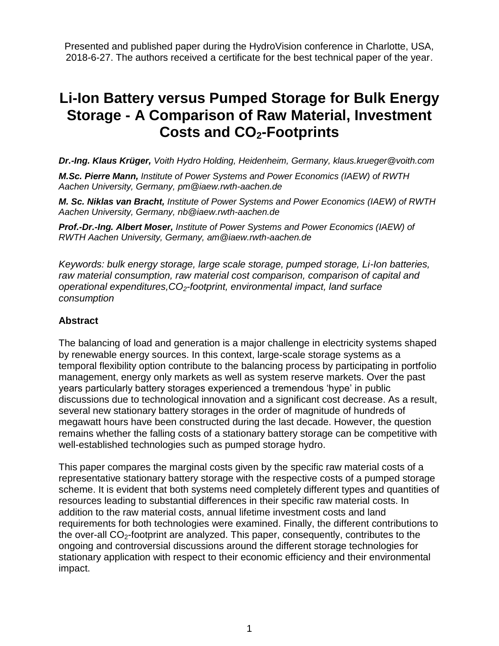Presented and published paper during the HydroVision conference in Charlotte, USA, 2018-6-27. The authors received a certificate for the best technical paper of the year.

# **Li-Ion Battery versus Pumped Storage for Bulk Energy Storage - A Comparison of Raw Material, Investment Costs and CO2-Footprints**

*Dr.-Ing. Klaus Krüger, Voith Hydro Holding, Heidenheim, Germany, klaus.krueger@voith.com*

*M.Sc. Pierre Mann, Institute of Power Systems and Power Economics (IAEW) of RWTH Aachen University, Germany, pm@iaew.rwth-aachen.de* 

*M. Sc. Niklas van Bracht, Institute of Power Systems and Power Economics (IAEW) of RWTH Aachen University, Germany, nb@iaew.rwth-aachen.de*

*Prof.-Dr.-Ing. Albert Moser, Institute of Power Systems and Power Economics (IAEW) of RWTH Aachen University, Germany, am@iaew.rwth-aachen.de* 

*Keywords: bulk energy storage, large scale storage, pumped storage, Li-Ion batteries, raw material consumption, raw material cost comparison, comparison of capital and operational expenditures,CO2-footprint, environmental impact, land surface consumption*

#### **Abstract**

The balancing of load and generation is a major challenge in electricity systems shaped by renewable energy sources. In this context, large-scale storage systems as a temporal flexibility option contribute to the balancing process by participating in portfolio management, energy only markets as well as system reserve markets. Over the past years particularly battery storages experienced a tremendous 'hype' in public discussions due to technological innovation and a significant cost decrease. As a result, several new stationary battery storages in the order of magnitude of hundreds of megawatt hours have been constructed during the last decade. However, the question remains whether the falling costs of a stationary battery storage can be competitive with well-established technologies such as pumped storage hydro.

This paper compares the marginal costs given by the specific raw material costs of a representative stationary battery storage with the respective costs of a pumped storage scheme. It is evident that both systems need completely different types and quantities of resources leading to substantial differences in their specific raw material costs. In addition to the raw material costs, annual lifetime investment costs and land requirements for both technologies were examined. Finally, the different contributions to the over-all CO2-footprint are analyzed. This paper, consequently, contributes to the ongoing and controversial discussions around the different storage technologies for stationary application with respect to their economic efficiency and their environmental impact.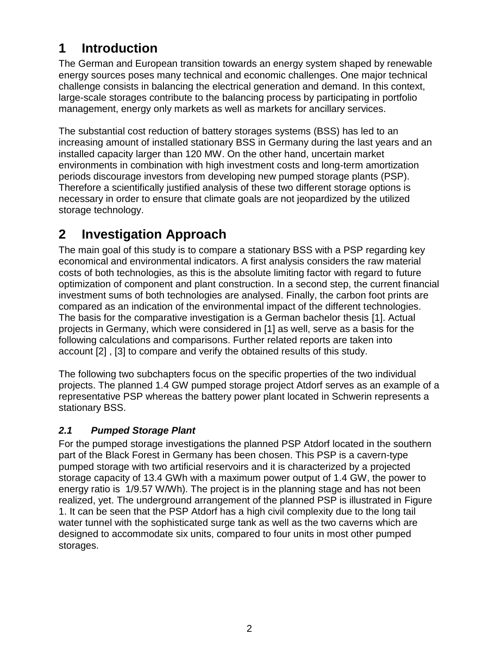# **1 Introduction**

The German and European transition towards an energy system shaped by renewable energy sources poses many technical and economic challenges. One major technical challenge consists in balancing the electrical generation and demand. In this context, large-scale storages contribute to the balancing process by participating in portfolio management, energy only markets as well as markets for ancillary services.

The substantial cost reduction of battery storages systems (BSS) has led to an increasing amount of installed stationary BSS in Germany during the last years and an installed capacity larger than 120 MW. On the other hand, uncertain market environments in combination with high investment costs and long-term amortization periods discourage investors from developing new pumped storage plants (PSP). Therefore a scientifically justified analysis of these two different storage options is necessary in order to ensure that climate goals are not jeopardized by the utilized storage technology.

# **2 Investigation Approach**

The main goal of this study is to compare a stationary BSS with a PSP regarding key economical and environmental indicators. A first analysis considers the raw material costs of both technologies, as this is the absolute limiting factor with regard to future optimization of component and plant construction. In a second step, the current financial investment sums of both technologies are analysed. Finally, the carbon foot prints are compared as an indication of the environmental impact of the different technologies. The basis for the comparative investigation is a German bachelor thesis [1]. Actual projects in Germany, which were considered in [1] as well, serve as a basis for the following calculations and comparisons. Further related reports are taken into account [2] , [3] to compare and verify the obtained results of this study.

The following two subchapters focus on the specific properties of the two individual projects. The planned 1.4 GW pumped storage project Atdorf serves as an example of a representative PSP whereas the battery power plant located in Schwerin represents a stationary BSS.

## *2.1 Pumped Storage Plant*

For the pumped storage investigations the planned PSP Atdorf located in the southern part of the Black Forest in Germany has been chosen. This PSP is a cavern-type pumped storage with two artificial reservoirs and it is characterized by a projected storage capacity of 13.4 GWh with a maximum power output of 1.4 GW, the power to energy ratio is 1/9.57 W/Wh). The project is in the planning stage and has not been realized, yet. The underground arrangement of the planned PSP is illustrated in [Figure](#page-2-0)  [1.](#page-2-0) It can be seen that the PSP Atdorf has a high civil complexity due to the long tail water tunnel with the sophisticated surge tank as well as the two caverns which are designed to accommodate six units, compared to four units in most other pumped storages.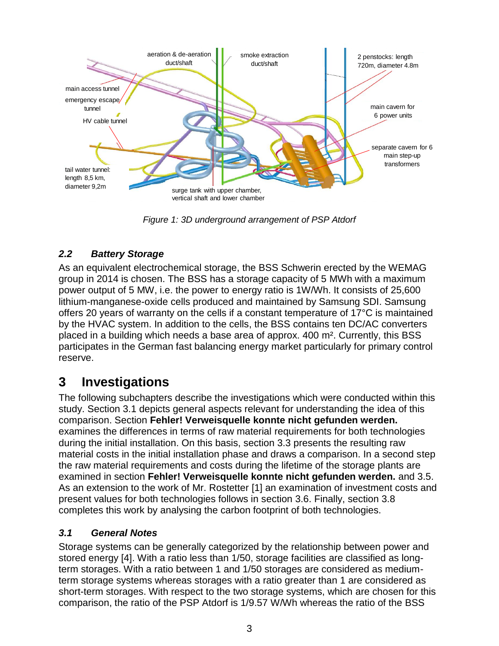

*Figure 1: 3D underground arrangement of PSP Atdorf*

## <span id="page-2-0"></span>*2.2 Battery Storage*

As an equivalent electrochemical storage, the BSS Schwerin erected by the WEMAG group in 2014 is chosen. The BSS has a storage capacity of 5 MWh with a maximum power output of 5 MW, i.e. the power to energy ratio is 1W/Wh. It consists of 25,600 lithium-manganese-oxide cells produced and maintained by Samsung SDI. Samsung offers 20 years of warranty on the cells if a constant temperature of 17°C is maintained by the HVAC system. In addition to the cells, the BSS contains ten DC/AC converters placed in a building which needs a base area of approx. 400 m². Currently, this BSS participates in the German fast balancing energy market particularly for primary control reserve.

## **3 Investigations**

The following subchapters describe the investigations which were conducted within this study. Section [3.1](#page-2-1) depicts general aspects relevant for understanding the idea of this comparison. Section **Fehler! Verweisquelle konnte nicht gefunden werden.** examines the differences in terms of raw material requirements for both technologies during the initial installation. On this basis, section [3.3](#page-5-0) presents the resulting raw material costs in the initial installation phase and draws a comparison. In a second step the raw material requirements and costs during the lifetime of the storage plants are examined in section **Fehler! Verweisquelle konnte nicht gefunden werden.** and [3.5.](#page-8-0) As an extension to the work of Mr. Rostetter [1] an examination of investment costs and present values for both technologies follows in section [3.6.](#page-9-0) Finally, section [3.8](#page-11-0) completes this work by analysing the carbon footprint of both technologies.

## <span id="page-2-1"></span>*3.1 General Notes*

Storage systems can be generally categorized by the relationship between power and stored energy [4]. With a ratio less than 1/50, storage facilities are classified as longterm storages. With a ratio between 1 and 1/50 storages are considered as mediumterm storage systems whereas storages with a ratio greater than 1 are considered as short-term storages. With respect to the two storage systems, which are chosen for this comparison, the ratio of the PSP Atdorf is 1/9.57 W/Wh whereas the ratio of the BSS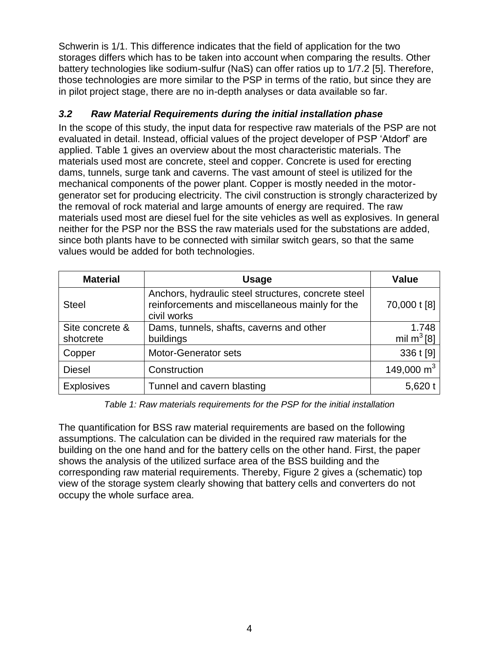Schwerin is 1/1. This difference indicates that the field of application for the two storages differs which has to be taken into account when comparing the results. Other battery technologies like sodium-sulfur (NaS) can offer ratios up to 1/7.2 [5]. Therefore, those technologies are more similar to the PSP in terms of the ratio, but since they are in pilot project stage, there are no in-depth analyses or data available so far.

## <span id="page-3-1"></span>*3.2 Raw Material Requirements during the initial installation phase*

In the scope of this study, the input data for respective raw materials of the PSP are not evaluated in detail. Instead, official values of the project developer of PSP 'Atdorf' are applied. [Table 1](#page-3-0) gives an overview about the most characteristic materials. The materials used most are concrete, steel and copper. Concrete is used for erecting dams, tunnels, surge tank and caverns. The vast amount of steel is utilized for the mechanical components of the power plant. Copper is mostly needed in the motorgenerator set for producing electricity. The civil construction is strongly characterized by the removal of rock material and large amounts of energy are required. The raw materials used most are diesel fuel for the site vehicles as well as explosives. In general neither for the PSP nor the BSS the raw materials used for the substations are added, since both plants have to be connected with similar switch gears, so that the same values would be added for both technologies.

| <b>Material</b>              | <b>Usage</b>                                                                                                          | <b>Value</b>           |
|------------------------------|-----------------------------------------------------------------------------------------------------------------------|------------------------|
| <b>Steel</b>                 | Anchors, hydraulic steel structures, concrete steel<br>reinforcements and miscellaneous mainly for the<br>civil works | 70,000 t [8]           |
| Site concrete &<br>shotcrete | Dams, tunnels, shafts, caverns and other<br>buildings                                                                 | 1.748<br>mil $m^3$ [8] |
|                              |                                                                                                                       |                        |
| Copper                       | Motor-Generator sets                                                                                                  | 336 t [9]              |
| <b>Diesel</b>                | Construction                                                                                                          | 149,000 $m3$           |
| Explosives                   | Tunnel and cavern blasting                                                                                            | 5,620 t                |

*Table 1: Raw materials requirements for the PSP for the initial installation*

<span id="page-3-0"></span>The quantification for BSS raw material requirements are based on the following assumptions. The calculation can be divided in the required raw materials for the building on the one hand and for the battery cells on the other hand. First, the paper shows the analysis of the utilized surface area of the BSS building and the corresponding raw material requirements. Thereby, [Figure 2](#page-4-0) gives a (schematic) top view of the storage system clearly showing that battery cells and converters do not occupy the whole surface area.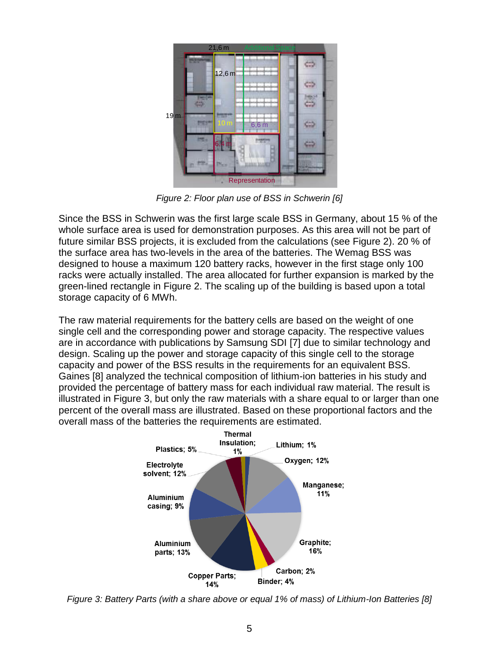

*Figure 2: Floor plan use of BSS in Schwerin [6]*

<span id="page-4-0"></span>Since the BSS in Schwerin was the first large scale BSS in Germany, about 15 % of the whole surface area is used for demonstration purposes. As this area will not be part of future similar BSS projects, it is excluded from the calculations (see [Figure 2\)](#page-4-0). 20 % of the surface area has two-levels in the area of the batteries. The Wemag BSS was designed to house a maximum 120 battery racks, however in the first stage only 100 racks were actually installed. The area allocated for further expansion is marked by the green-lined rectangle in [Figure 2.](#page-4-0) The scaling up of the building is based upon a total storage capacity of 6 MWh.

The raw material requirements for the battery cells are based on the weight of one single cell and the corresponding power and storage capacity. The respective values are in accordance with publications by Samsung SDI [7] due to similar technology and design. Scaling up the power and storage capacity of this single cell to the storage capacity and power of the BSS results in the requirements for an equivalent BSS. Gaines [8] analyzed the technical composition of lithium-ion batteries in his study and provided the percentage of battery mass for each individual raw material. The result is illustrated in [Figure 3,](#page-4-1) but only the raw materials with a share equal to or larger than one percent of the overall mass are illustrated. Based on these proportional factors and the overall mass of the batteries the requirements are estimated.



<span id="page-4-1"></span>*Figure 3: Battery Parts (with a share above or equal 1% of mass) of Lithium-Ion Batteries [8]*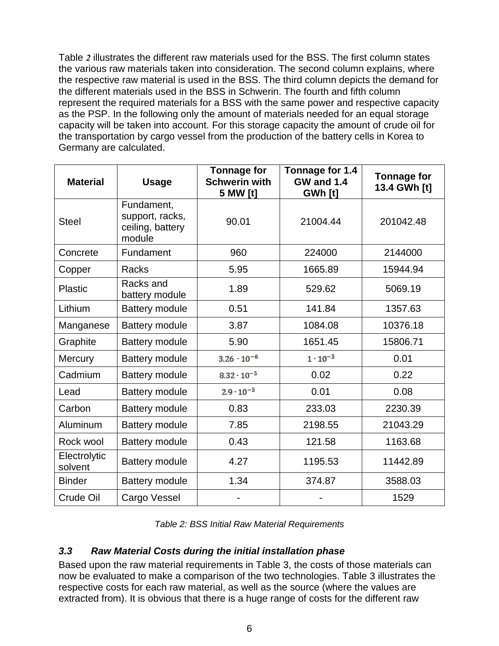[Table](#page-5-1) *2* illustrates the different raw materials used for the BSS. The first column states the various raw materials taken into consideration. The second column explains, where the respective raw material is used in the BSS. The third column depicts the demand for the different materials used in the BSS in Schwerin. The fourth and fifth column represent the required materials for a BSS with the same power and respective capacity as the PSP. In the following only the amount of materials needed for an equal storage capacity will be taken into account. For this storage capacity the amount of crude oil for the transportation by cargo vessel from the production of the battery cells in Korea to Germany are calculated.

| <b>Material</b>         | <b>Usage</b>                                                | <b>Tonnage for</b><br><b>Schwerin with</b><br>5 MW [t] | Tonnage for 1.4<br><b>GW and 1.4</b><br>GWh [t] | <b>Tonnage for</b><br>13.4 GWh [t] |
|-------------------------|-------------------------------------------------------------|--------------------------------------------------------|-------------------------------------------------|------------------------------------|
| <b>Steel</b>            | Fundament,<br>support, racks,<br>ceiling, battery<br>module | 90.01                                                  | 21004.44                                        | 201042.48                          |
| Concrete                | Fundament                                                   | 960                                                    | 224000                                          | 2144000                            |
| Copper                  | <b>Racks</b>                                                | 5.95                                                   | 1665.89                                         | 15944.94                           |
| <b>Plastic</b>          | Racks and<br>battery module                                 | 1.89                                                   | 529.62                                          | 5069.19                            |
| Lithium                 | <b>Battery module</b>                                       | 0.51                                                   | 141.84                                          | 1357.63                            |
| Manganese               | Battery module                                              | 3.87                                                   | 1084.08                                         | 10376.18                           |
| Graphite                | <b>Battery module</b>                                       | 5.90                                                   | 1651.45                                         | 15806.71                           |
| Mercury                 | <b>Battery module</b>                                       | $3.26 \cdot 10^{-6}$                                   | $1 \cdot 10^{-3}$                               | 0.01                               |
| Cadmium                 | <b>Battery module</b>                                       | $8.32 \cdot 10^{-5}$                                   | 0.02                                            | 0.22                               |
| Lead                    | <b>Battery module</b>                                       | $2.9 \cdot 10^{-5}$                                    | 0.01                                            | 0.08                               |
| Carbon                  | <b>Battery module</b>                                       | 0.83                                                   | 233.03                                          | 2230.39                            |
| Aluminum                | <b>Battery module</b>                                       | 7.85                                                   | 2198.55                                         | 21043.29                           |
| Rock wool               | <b>Battery module</b>                                       | 0.43                                                   | 121.58                                          | 1163.68                            |
| Electrolytic<br>solvent | <b>Battery module</b>                                       | 4.27                                                   | 1195.53                                         | 11442.89                           |
| <b>Binder</b>           | <b>Battery module</b>                                       | 1.34                                                   | 374.87                                          | 3588.03                            |
| Crude Oil               | Cargo Vessel                                                |                                                        |                                                 | 1529                               |

| Table 2: BSS Initial Raw Material Requirements |  |  |  |
|------------------------------------------------|--|--|--|
|------------------------------------------------|--|--|--|

#### <span id="page-5-1"></span><span id="page-5-0"></span>*3.3 Raw Material Costs during the initial installation phase*

Based upon the raw material requirements in Table 3, the costs of those materials can now be evaluated to make a comparison of the two technologies. [Table 3](#page-6-0) illustrates the respective costs for each raw material, as well as the source (where the values are extracted from). It is obvious that there is a huge range of costs for the different raw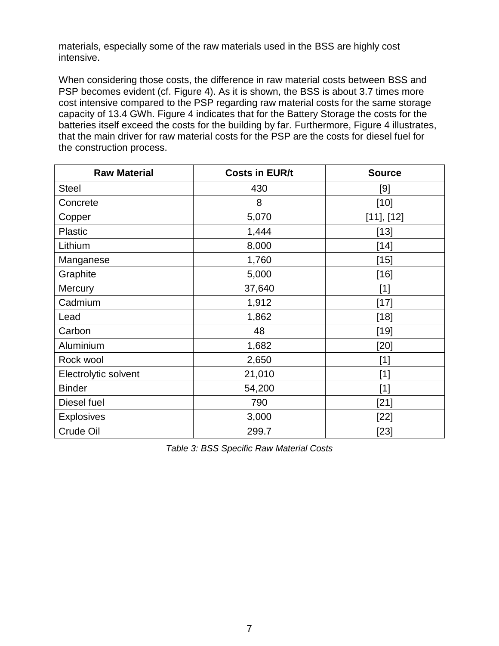materials, especially some of the raw materials used in the BSS are highly cost intensive.

When considering those costs, the difference in raw material costs between BSS and PSP becomes evident (cf. [Figure 4\)](#page-7-0). As it is shown, the BSS is about 3.7 times more cost intensive compared to the PSP regarding raw material costs for the same storage capacity of 13.4 GWh. [Figure 4](#page-7-0) indicates that for the Battery Storage the costs for the batteries itself exceed the costs for the building by far. Furthermore, [Figure 4](#page-7-0) illustrates, that the main driver for raw material costs for the PSP are the costs for diesel fuel for the construction process.

| <b>Raw Material</b>  | <b>Costs in EUR/t</b> | <b>Source</b> |
|----------------------|-----------------------|---------------|
| <b>Steel</b>         | 430                   | [9]           |
| Concrete             | 8                     | $[10]$        |
| Copper               | 5,070                 | [11], [12]    |
| <b>Plastic</b>       | 1,444                 | $[13]$        |
| Lithium              | 8,000                 | $[14]$        |
| Manganese            | 1,760                 | $[15]$        |
| Graphite             | 5,000                 | $[16]$        |
| <b>Mercury</b>       | 37,640                | $[1]$         |
| Cadmium              | 1,912                 | $[17]$        |
| Lead                 | 1,862                 | $[18]$        |
| Carbon               | 48                    | $[19]$        |
| Aluminium            | 1,682                 | $[20]$        |
| Rock wool            | 2,650                 | $[1]$         |
| Electrolytic solvent | 21,010                | $[1]$         |
| <b>Binder</b>        | 54,200                | $[1]$         |
| Diesel fuel          | 790                   | $[21]$        |
| <b>Explosives</b>    | 3,000                 | $[22]$        |
| Crude Oil            | 299.7                 | $[23]$        |

<span id="page-6-0"></span>*Table 3: BSS Specific Raw Material Costs*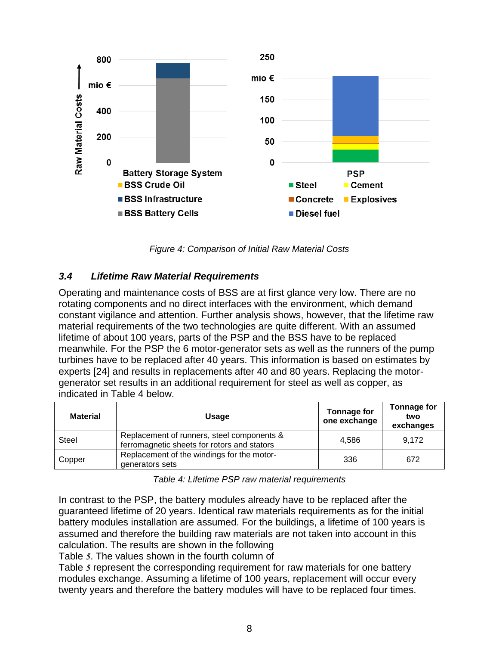

*Figure 4: Comparison of Initial Raw Material Costs*

#### <span id="page-7-0"></span>*3.4 Lifetime Raw Material Requirements*

Operating and maintenance costs of BSS are at first glance very low. There are no rotating components and no direct interfaces with the environment, which demand constant vigilance and attention. Further analysis shows, however, that the lifetime raw material requirements of the two technologies are quite different. With an assumed lifetime of about 100 years, parts of the PSP and the BSS have to be replaced meanwhile. For the PSP the 6 motor-generator sets as well as the runners of the pump turbines have to be replaced after 40 years. This information is based on estimates by experts [24] and results in replacements after 40 and 80 years. Replacing the motorgenerator set results in an additional requirement for steel as well as copper, as indicated in [Table 4](#page-7-1) below.

| <b>Material</b> | <b>Usage</b>                                                                              | <b>Tonnage for</b><br>one exchange | Tonnage for<br>two<br>exchanges |
|-----------------|-------------------------------------------------------------------------------------------|------------------------------------|---------------------------------|
| <b>Steel</b>    | Replacement of runners, steel components &<br>ferromagnetic sheets for rotors and stators | 4.586                              | 9,172                           |
| Copper          | Replacement of the windings for the motor-<br>generators sets                             | 336                                | 672                             |

*Table 4: Lifetime PSP raw material requirements*

<span id="page-7-1"></span>In contrast to the PSP, the battery modules already have to be replaced after the guaranteed lifetime of 20 years. Identical raw materials requirements as for the initial battery modules installation are assumed. For the buildings, a lifetime of 100 years is assumed and therefore the building raw materials are not taken into account in this calculation. The results are shown in the following

[Table](#page-8-1) *5*. The values shown in the fourth column of

[Table](#page-8-1) *5* represent the corresponding requirement for raw materials for one battery modules exchange. Assuming a lifetime of 100 years, replacement will occur every twenty years and therefore the battery modules will have to be replaced four times.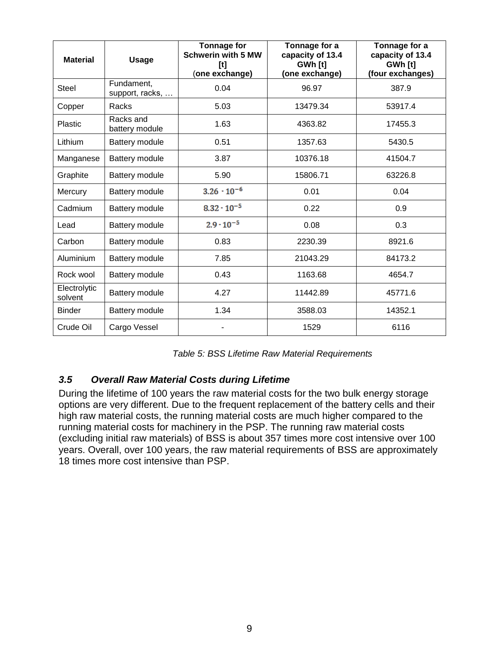| <b>Material</b>         | <b>Usage</b>                  | <b>Tonnage for</b><br><b>Schwerin with 5 MW</b><br>$[t] \centering% \includegraphics[width=0.35\textwidth]{Figures/PN1.png} \caption{The 3D (black) model for the $L^2$-error of the estimators in the left and right. The left and right is the same as in the right.} \label{fig:1}$<br>(one exchange) | Tonnage for a<br>capacity of 13.4<br>GWh [t]<br>(one exchange) | Tonnage for a<br>capacity of 13.4<br>GWh [t]<br>(four exchanges) |
|-------------------------|-------------------------------|----------------------------------------------------------------------------------------------------------------------------------------------------------------------------------------------------------------------------------------------------------------------------------------------------------|----------------------------------------------------------------|------------------------------------------------------------------|
| <b>Steel</b>            | Fundament,<br>support, racks, | 0.04                                                                                                                                                                                                                                                                                                     | 96.97                                                          | 387.9                                                            |
| Copper                  | Racks                         | 5.03                                                                                                                                                                                                                                                                                                     | 13479.34                                                       | 53917.4                                                          |
| Plastic                 | Racks and<br>battery module   | 1.63                                                                                                                                                                                                                                                                                                     | 4363.82                                                        | 17455.3                                                          |
| Lithium                 | Battery module                | 0.51                                                                                                                                                                                                                                                                                                     | 1357.63                                                        | 5430.5                                                           |
| Manganese               | Battery module                | 3.87                                                                                                                                                                                                                                                                                                     | 10376.18                                                       | 41504.7                                                          |
| Graphite                | Battery module                | 5.90                                                                                                                                                                                                                                                                                                     | 15806.71                                                       | 63226.8                                                          |
| Mercury                 | Battery module                | $3.26 \cdot 10^{-6}$                                                                                                                                                                                                                                                                                     | 0.01                                                           | 0.04                                                             |
| Cadmium                 | Battery module                | $8.32 \cdot 10^{-5}$                                                                                                                                                                                                                                                                                     | 0.22                                                           | 0.9                                                              |
| Lead                    | Battery module                | $2.9 \cdot 10^{-5}$                                                                                                                                                                                                                                                                                      | 0.08                                                           | 0.3                                                              |
| Carbon                  | <b>Battery module</b>         | 0.83                                                                                                                                                                                                                                                                                                     | 2230.39                                                        | 8921.6                                                           |
| Aluminium               | Battery module                | 7.85                                                                                                                                                                                                                                                                                                     | 21043.29                                                       | 84173.2                                                          |
| Rock wool               | Battery module                | 0.43                                                                                                                                                                                                                                                                                                     | 1163.68                                                        | 4654.7                                                           |
| Electrolytic<br>solvent | Battery module                | 4.27                                                                                                                                                                                                                                                                                                     | 11442.89                                                       | 45771.6                                                          |
| <b>Binder</b>           | Battery module                | 1.34                                                                                                                                                                                                                                                                                                     | 3588.03                                                        | 14352.1                                                          |
| Crude Oil               | Cargo Vessel                  |                                                                                                                                                                                                                                                                                                          | 1529                                                           | 6116                                                             |

#### <span id="page-8-1"></span><span id="page-8-0"></span>*3.5 Overall Raw Material Costs during Lifetime*

During the lifetime of 100 years the raw material costs for the two bulk energy storage options are very different. Due to the frequent replacement of the battery cells and their high raw material costs, the running material costs are much higher compared to the running material costs for machinery in the PSP. The running raw material costs (excluding initial raw materials) of BSS is about 357 times more cost intensive over 100 years. Overall, over 100 years, the raw material requirements of BSS are approximately 18 times more cost intensive than PSP.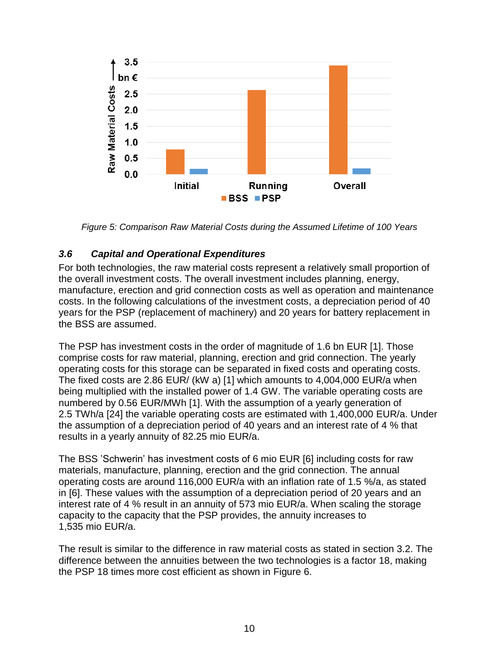

*Figure 5: Comparison Raw Material Costs during the Assumed Lifetime of 100 Years*

## <span id="page-9-0"></span>*3.6 Capital and Operational Expenditures*

For both technologies, the raw material costs represent a relatively small proportion of the overall investment costs. The overall investment includes planning, energy, manufacture, erection and grid connection costs as well as operation and maintenance costs. In the following calculations of the investment costs, a depreciation period of 40 years for the PSP (replacement of machinery) and 20 years for battery replacement in the BSS are assumed.

The PSP has investment costs in the order of magnitude of 1.6 bn EUR [1]. Those comprise costs for raw material, planning, erection and grid connection. The yearly operating costs for this storage can be separated in fixed costs and operating costs. The fixed costs are 2.86 EUR/ (kW a) [1] which amounts to 4,004,000 EUR/a when being multiplied with the installed power of 1.4 GW. The variable operating costs are numbered by 0.56 EUR/MWh [1]. With the assumption of a yearly generation of 2.5 TWh/a [24] the variable operating costs are estimated with 1,400,000 EUR/a. Under the assumption of a depreciation period of 40 years and an interest rate of 4 % that results in a yearly annuity of 82.25 mio EUR/a.

The BSS 'Schwerin' has investment costs of 6 mio EUR [6] including costs for raw materials, manufacture, planning, erection and the grid connection. The annual operating costs are around 116,000 EUR/a with an inflation rate of 1.5 %/a, as stated in [6]. These values with the assumption of a depreciation period of 20 years and an interest rate of 4 % result in an annuity of 573 mio EUR/a. When scaling the storage capacity to the capacity that the PSP provides, the annuity increases to 1,535 mio EUR/a.

The result is similar to the difference in raw material costs as stated in section [3.2.](#page-3-1) The difference between the annuities between the two technologies is a factor 18, making the PSP 18 times more cost efficient as shown in [Figure 6.](#page-10-0)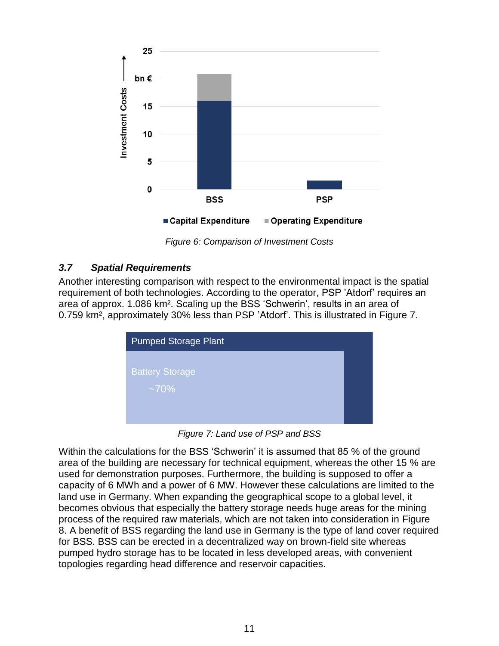

*Figure 6: Comparison of Investment Costs*

## <span id="page-10-0"></span>*3.7 Spatial Requirements*

Another interesting comparison with respect to the environmental impact is the spatial requirement of both technologies. According to the operator, PSP 'Atdorf' requires an area of approx. 1.086 km². Scaling up the BSS 'Schwerin', results in an area of 0.759 km², approximately 30% less than PSP 'Atdorf'. This is illustrated in [Figure 7.](#page-10-1)

| <b>Pumped Storage Plant</b>       |  |  |  |  |  |  |
|-----------------------------------|--|--|--|--|--|--|
| <b>Battery Storage</b><br>$~10\%$ |  |  |  |  |  |  |

*Figure 7: Land use of PSP and BSS*

<span id="page-10-1"></span>Within the calculations for the BSS 'Schwerin' it is assumed that 85 % of the ground area of the building are necessary for technical equipment, whereas the other 15 % are used for demonstration purposes. Furthermore, the building is supposed to offer a capacity of 6 MWh and a power of 6 MW. However these calculations are limited to the land use in Germany. When expanding the geographical scope to a global level, it becomes obvious that especially the battery storage needs huge areas for the mining process of the required raw materials, which are not taken into consideration in [Figure](#page-12-0)  [8.](#page-12-0) A benefit of BSS regarding the land use in Germany is the type of land cover required for BSS. BSS can be erected in a decentralized way on brown-field site whereas pumped hydro storage has to be located in less developed areas, with convenient topologies regarding head difference and reservoir capacities.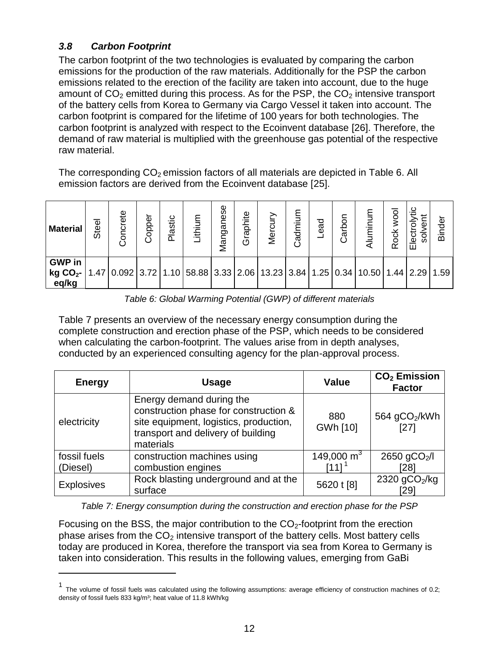## <span id="page-11-0"></span>*3.8 Carbon Footprint*

 $\overline{a}$ 

The carbon footprint of the two technologies is evaluated by comparing the carbon emissions for the production of the raw materials. Additionally for the PSP the carbon emissions related to the erection of the facility are taken into account, due to the huge amount of  $CO<sub>2</sub>$  emitted during this process. As for the PSP, the  $CO<sub>2</sub>$  intensive transport of the battery cells from Korea to Germany via Cargo Vessel it taken into account. The carbon footprint is compared for the lifetime of 100 years for both technologies. The carbon footprint is analyzed with respect to the Ecoinvent database [26]. Therefore, the demand of raw material is multiplied with the greenhouse gas potential of the respective raw material.

The corresponding  $CO<sub>2</sub>$  emission factors of all materials are depicted in Table 6. All emission factors are derived from the Ecoinvent database [25].

| <b>Material</b>                                                                                                                         | Steel | ete<br>৳ | Copper | astic<br>$\Omega$ | .ithium | Manganese | Graphite | Mercu | Cadmium | bea- | Carbon | loow<br><b>Rock</b> | Electr<br>á | <b>Binder</b> |
|-----------------------------------------------------------------------------------------------------------------------------------------|-------|----------|--------|-------------------|---------|-----------|----------|-------|---------|------|--------|---------------------|-------------|---------------|
| <b>GWP</b> in<br><b>kg CO</b> <sub>2</sub> - $ 1.47 0.092 3.72 1.10 58.88 3.33 2.06 13.23 3.84 1.25 0.34 10.50 1.44 2.29 1.59$<br>eq/kg |       |          |        |                   |         |           |          |       |         |      |        |                     |             |               |

*Table 6: Global Warming Potential (GWP) of different materials*

[Table](#page-11-1) 7 presents an overview of the necessary energy consumption during the complete construction and erection phase of the PSP, which needs to be considered when calculating the carbon-footprint. The values arise from in depth analyses, conducted by an experienced consulting agency for the plan-approval process.

| <b>Energy</b>            | <b>Usage</b>                                                                                                                                                   | <b>Value</b>              | $CO2$ Emission<br><b>Factor</b>   |
|--------------------------|----------------------------------------------------------------------------------------------------------------------------------------------------------------|---------------------------|-----------------------------------|
| electricity              | Energy demand during the<br>construction phase for construction &<br>site equipment, logistics, production,<br>transport and delivery of building<br>materials | 880<br>GWh [10]           | 564 gCO <sub>2</sub> /kWh<br>[27] |
| fossil fuels<br>(Diesel) | construction machines using<br>combustion engines                                                                                                              | 149,000 $m3$<br>[11] $^1$ | 2650 gCO <sub>2</sub> /l<br>28    |
| <b>Explosives</b>        | Rock blasting underground and at the<br>surface                                                                                                                | 5620 t [8]                | 2320 $gCO2/kg$<br>29              |

*Table 7: Energy consumption during the construction and erection phase for the PSP*

<span id="page-11-1"></span>Focusing on the BSS, the major contribution to the  $CO<sub>2</sub>$ -footprint from the erection phase arises from the  $CO<sub>2</sub>$  intensive transport of the battery cells. Most battery cells today are produced in Korea, therefore the transport via sea from Korea to Germany is taken into consideration. This results in the following values, emerging from GaBi

<sup>1</sup> The volume of fossil fuels was calculated using the following assumptions: average efficiency of construction machines of 0.2; density of fossil fuels 833 kg/m<sup>3</sup>; heat value of 11.8 kWh/kg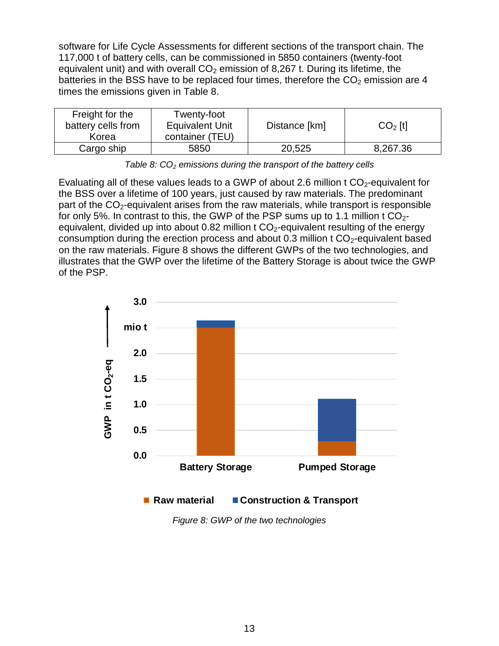software for Life Cycle Assessments for different sections of the transport chain. The 117,000 t of battery cells, can be commissioned in 5850 containers (twenty-foot equivalent unit) and with overall  $CO<sub>2</sub>$  emission of 8,267 t. During its lifetime, the batteries in the BSS have to be replaced four times, therefore the  $CO<sub>2</sub>$  emission are 4 times the emissions given in [Table 8.](#page-12-1)

| Freight for the<br>battery cells from<br>Korea | Twenty-foot<br><b>Equivalent Unit</b><br>container (TEU) | Distance [km] | $CO2$ [t] |
|------------------------------------------------|----------------------------------------------------------|---------------|-----------|
| Cargo ship                                     | 5850                                                     | 20,525        | 8,267.36  |

*Table 8: CO<sup>2</sup> emissions during the transport of the battery cells*

<span id="page-12-1"></span>Evaluating all of these values leads to a GWP of about 2.6 million t  $CO<sub>2</sub>$ -equivalent for the BSS over a lifetime of 100 years, just caused by raw materials. The predominant part of the  $CO<sub>2</sub>$ -equivalent arises from the raw materials, while transport is responsible for only 5%. In contrast to this, the GWP of the PSP sums up to 1.1 million t  $CO<sub>2</sub>$ equivalent, divided up into about 0.82 million t  $CO<sub>2</sub>$ -equivalent resulting of the energy consumption during the erection process and about  $0.3$  million t  $CO<sub>2</sub>$ -equivalent based on the raw materials. [Figure 8](#page-12-0) shows the different GWPs of the two technologies, and illustrates that the GWP over the lifetime of the Battery Storage is about twice the GWP of the PSP.



<span id="page-12-0"></span>*Figure 8: GWP of the two technologies*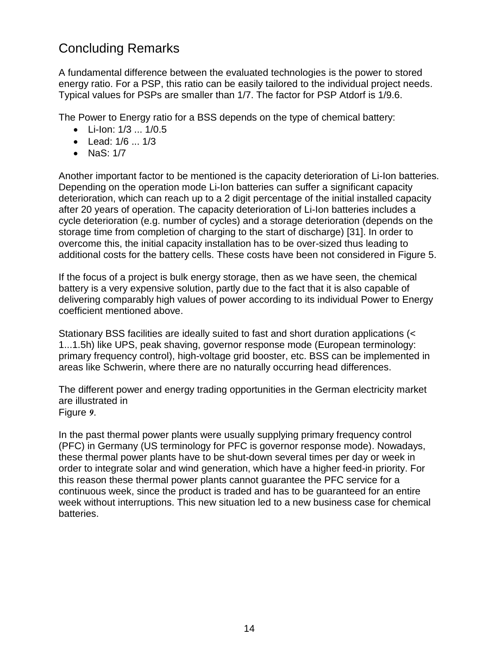## Concluding Remarks

A fundamental difference between the evaluated technologies is the power to stored energy ratio. For a PSP, this ratio can be easily tailored to the individual project needs. Typical values for PSPs are smaller than 1/7. The factor for PSP Atdorf is 1/9.6.

The Power to Energy ratio for a BSS depends on the type of chemical battery:

- Li-Ion: 1/3 ... 1/0.5
- Lead: 1/6 ... 1/3
- NaS: 1/7

Another important factor to be mentioned is the capacity deterioration of Li-Ion batteries. Depending on the operation mode Li-Ion batteries can suffer a significant capacity deterioration, which can reach up to a 2 digit percentage of the initial installed capacity after 20 years of operation. The capacity deterioration of Li-Ion batteries includes a cycle deterioration (e.g. number of cycles) and a storage deterioration (depends on the storage time from completion of charging to the start of discharge) [31]. In order to overcome this, the initial capacity installation has to be over-sized thus leading to additional costs for the battery cells. These costs have been not considered in Figure 5.

If the focus of a project is bulk energy storage, then as we have seen, the chemical battery is a very expensive solution, partly due to the fact that it is also capable of delivering comparably high values of power according to its individual Power to Energy coefficient mentioned above.

Stationary BSS facilities are ideally suited to fast and short duration applications (< 1...1.5h) like UPS, peak shaving, governor response mode (European terminology: primary frequency control), high-voltage grid booster, etc. BSS can be implemented in areas like Schwerin, where there are no naturally occurring head differences.

The different power and energy trading opportunities in the German electricity market are illustrated in [Figure](#page-14-0) *9*.

In the past thermal power plants were usually supplying primary frequency control (PFC) in Germany (US terminology for PFC is governor response mode). Nowadays, these thermal power plants have to be shut-down several times per day or week in order to integrate solar and wind generation, which have a higher feed-in priority. For this reason these thermal power plants cannot guarantee the PFC service for a continuous week, since the product is traded and has to be guaranteed for an entire week without interruptions. This new situation led to a new business case for chemical batteries.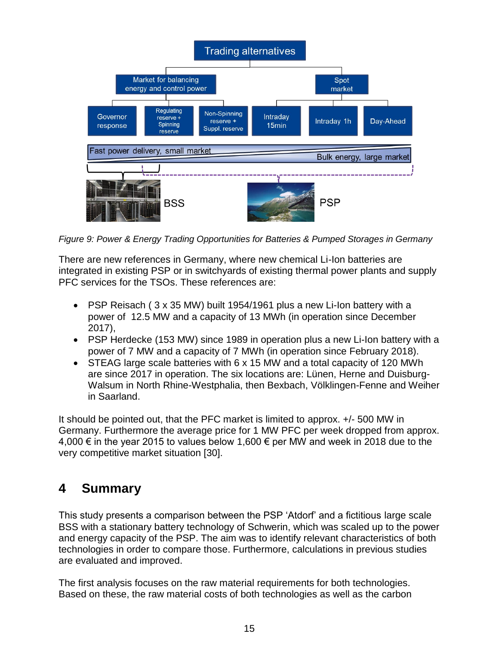<span id="page-14-0"></span>

*Figure 9: Power & Energy Trading Opportunities for Batteries & Pumped Storages in Germany*

There are new references in Germany, where new chemical Li-Ion batteries are integrated in existing PSP or in switchyards of existing thermal power plants and supply PFC services for the TSOs. These references are:

- PSP Reisach ( 3 x 35 MW) built 1954/1961 plus a new Li-Ion battery with a power of 12.5 MW and a capacity of 13 MWh (in operation since December 2017),
- PSP Herdecke (153 MW) since 1989 in operation plus a new Li-Ion battery with a power of 7 MW and a capacity of 7 MWh (in operation since February 2018).
- STEAG large scale batteries with 6 x 15 MW and a total capacity of 120 MWh are since 2017 in operation. The six locations are: Lünen, Herne and Duisburg-Walsum in North Rhine-Westphalia, then Bexbach, Völklingen-Fenne and Weiher in Saarland.

It should be pointed out, that the PFC market is limited to approx. +/- 500 MW in Germany. Furthermore the average price for 1 MW PFC per week dropped from approx. 4,000 € in the year 2015 to values below 1,600 € per MW and week in 2018 due to the very competitive market situation [30].

## **4 Summary**

This study presents a comparison between the PSP 'Atdorf' and a fictitious large scale BSS with a stationary battery technology of Schwerin, which was scaled up to the power and energy capacity of the PSP. The aim was to identify relevant characteristics of both technologies in order to compare those. Furthermore, calculations in previous studies are evaluated and improved.

The first analysis focuses on the raw material requirements for both technologies. Based on these, the raw material costs of both technologies as well as the carbon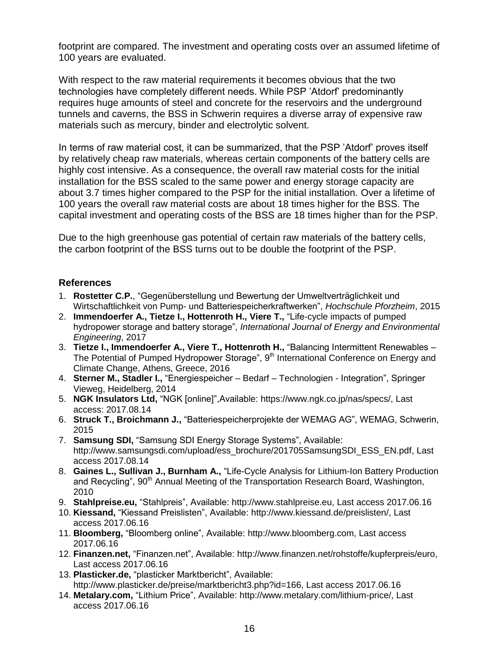footprint are compared. The investment and operating costs over an assumed lifetime of 100 years are evaluated.

With respect to the raw material requirements it becomes obvious that the two technologies have completely different needs. While PSP 'Atdorf' predominantly requires huge amounts of steel and concrete for the reservoirs and the underground tunnels and caverns, the BSS in Schwerin requires a diverse array of expensive raw materials such as mercury, binder and electrolytic solvent.

In terms of raw material cost, it can be summarized, that the PSP 'Atdorf' proves itself by relatively cheap raw materials, whereas certain components of the battery cells are highly cost intensive. As a consequence, the overall raw material costs for the initial installation for the BSS scaled to the same power and energy storage capacity are about 3.7 times higher compared to the PSP for the initial installation. Over a lifetime of 100 years the overall raw material costs are about 18 times higher for the BSS. The capital investment and operating costs of the BSS are 18 times higher than for the PSP.

Due to the high greenhouse gas potential of certain raw materials of the battery cells, the carbon footprint of the BSS turns out to be double the footprint of the PSP.

#### **References**

- 1. **Rostetter C.P.**, "Gegenüberstellung und Bewertung der Umweltverträglichkeit und Wirtschaftlichkeit von Pump- und Batteriespeicherkraftwerken", *Hochschule Pforzheim*, 2015
- 2. **Immendoerfer A., Tietze I., Hottenroth H., Viere T.,** "Life-cycle impacts of pumped hydropower storage and battery storage", *International Journal of Energy and Environmental Engineering*, 2017
- 3. **Tietze I., Immendoerfer A., Viere T., Hottenroth H.,** "Balancing Intermittent Renewables The Potential of Pumped Hydropower Storage", 9<sup>th</sup> International Conference on Energy and Climate Change, Athens, Greece, 2016
- 4. **Sterner M., Stadler I.,** "Energiespeicher Bedarf Technologien Integration", Springer Vieweg, Heidelberg, 2014
- 5. **NGK Insulators Ltd,** "NGK [online]",Available: [https://www.ngk.co.jp/nas/specs/,](https://www.ngk.co.jp/nas/specs/) Last access: 2017.08.14
- 6. **Struck T., Broichmann J.,** "Batteriespeicherprojekte der WEMAG AG", WEMAG, Schwerin, 2015
- 7. **Samsung SDI,** "Samsung SDI Energy Storage Systems", Available: [http://www.samsungsdi.com/upload/ess\\_brochure/201705SamsungSDI\\_ESS\\_EN.pdf,](http://www.samsungsdi.com/upload/ess_brochure/201705SamsungSDI_ESS_EN.pdf) Last access 2017.08.14
- 8. **Gaines L., Sullivan J., Burnham A.,** "Life-Cycle Analysis for Lithium-Ion Battery Production and Recycling", 90<sup>th</sup> Annual Meeting of the Transportation Research Board, Washington, 2010
- 9. **Stahlpreise.eu,** "Stahlpreis", Available: http://www.stahlpreise.eu, Last access 2017.06.16
- 10. **Kiessand,** "Kiessand Preislisten", Available: http://www.kiessand.de/preislisten/, Last access 2017.06.16
- 11. **Bloomberg,** "Bloomberg online", Available: http://www.bloomberg.com, Last access 2017.06.16
- 12. **Finanzen.net,** "Finanzen.net", Available: http://www.finanzen.net/rohstoffe/kupferpreis/euro, Last access 2017.06.16
- 13. **Plasticker.de,** "plasticker Marktbericht", Available: http://www.plasticker.de/preise/marktbericht3.php?id=166, Last access 2017.06.16
- 14. **Metalary.com,** "Lithium Price", Available: http://www.metalary.com/lithium-price/, Last access 2017.06.16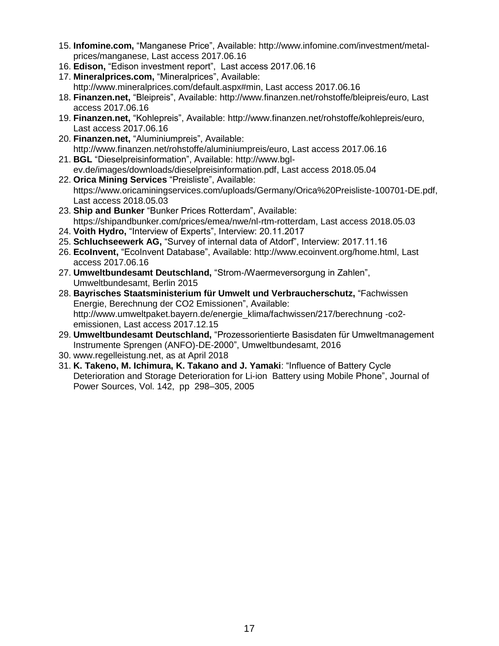- 15. **Infomine.com,** "Manganese Price", Available: http://www.infomine.com/investment/metalprices/manganese, Last access 2017.06.16
- 16. **Edison,** "Edison investment report", Last access 2017.06.16
- 17. **Mineralprices.com,** "Mineralprices", Available: http://www.mineralprices.com/default.aspx#min, Last access 2017.06.16
- 18. **Finanzen.net,** "Bleipreis", Available: http://www.finanzen.net/rohstoffe/bleipreis/euro, Last access 2017.06.16
- 19. **Finanzen.net,** "Kohlepreis", Available: http://www.finanzen.net/rohstoffe/kohlepreis/euro, Last access 2017.06.16
- 20. **Finanzen.net,** "Aluminiumpreis", Available: http://www.finanzen.net/rohstoffe/aluminiumpreis/euro, Last access 2017.06.16
- 21. **BGL** "Dieselpreisinformation", Available: [http://www.bgl](http://www.bgl-ev.de/images/downloads/dieselpreisinformation.pdf)[ev.de/images/downloads/dieselpreisinformation.pdf,](http://www.bgl-ev.de/images/downloads/dieselpreisinformation.pdf) Last access 2018.05.04
- 22. **Orica Mining Services** "Preisliste", Available: [https://www.oricaminingservices.com/uploads/Germany/Orica%20Preisliste-100701-DE.pdf,](https://www.oricaminingservices.com/uploads/Germany/Orica%20Preisliste-100701-DE.pdf) Last access 2018.05.03
- 23. **Ship and Bunker** "Bunker Prices Rotterdam", Available: [https://shipandbunker.com/prices/emea/nwe/nl-rtm-rotterdam,](https://shipandbunker.com/prices/emea/nwe/nl-rtm-rotterdam) Last access 2018.05.03
- 24. **Voith Hydro,** "Interview of Experts", Interview: 20.11.2017
- 25. **Schluchseewerk AG,** "Survey of internal data of Atdorf", Interview: 2017.11.16
- 26. **EcoInvent,** "EcoInvent Database", Available: [http://www.ecoinvent.org/home.html,](http://www.ecoinvent.org/home.html) Last access 2017.06.16
- 27. **Umweltbundesamt Deutschland,** "Strom-/Waermeversorgung in Zahlen", Umweltbundesamt, Berlin 2015
- 28. **Bayrisches Staatsministerium für Umwelt und Verbraucherschutz,** "Fachwissen Energie, Berechnung der CO2 Emissionen", Available: http://www.umweltpaket.bayern.de/energie\_klima/fachwissen/217/berechnung -co2 emissionen, Last access 2017.12.15
- 29. **Umweltbundesamt Deutschland,** "Prozessorientierte Basisdaten für Umweltmanagement Instrumente Sprengen (ANFO)-DE-2000", Umweltbundesamt, 2016
- 30. www.regelleistung.net, as at April 2018
- 31. **K. Takeno, M. Ichimura, K. Takano and J. Yamaki**: "Influence of Battery Cycle Deterioration and Storage Deterioration for Li-ion Battery using Mobile Phone", Journal of Power Sources, Vol. 142, pp 298–305, 2005